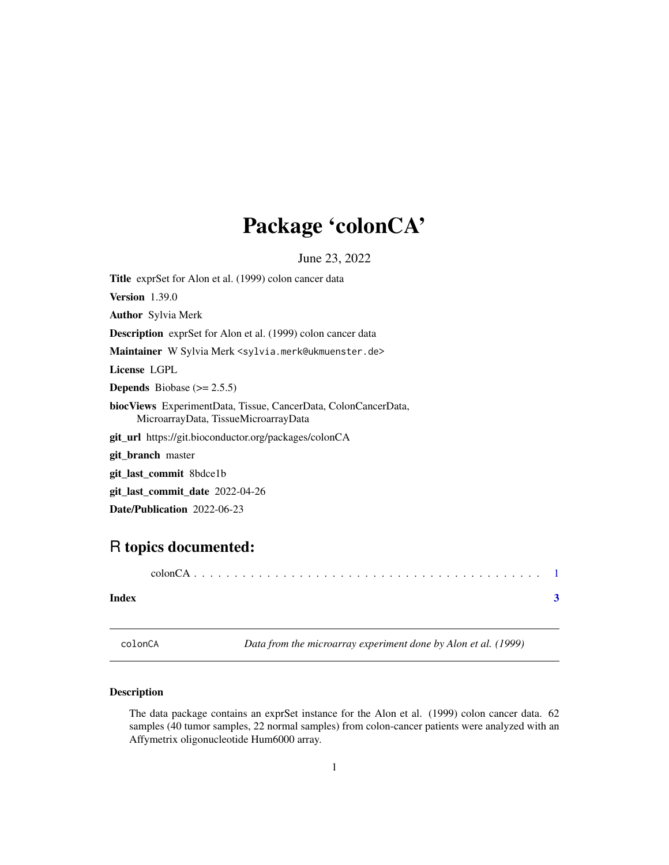# <span id="page-0-0"></span>Package 'colonCA'

June 23, 2022

Title exprSet for Alon et al. (1999) colon cancer data Version 1.39.0 Author Sylvia Merk Description exprSet for Alon et al. (1999) colon cancer data Maintainer W Sylvia Merk <sylvia.merk@ukmuenster.de> License LGPL **Depends** Biobase  $(>= 2.5.5)$ biocViews ExperimentData, Tissue, CancerData, ColonCancerData, MicroarrayData, TissueMicroarrayData git\_url https://git.bioconductor.org/packages/colonCA git\_branch master git\_last\_commit 8bdce1b git\_last\_commit\_date 2022-04-26 Date/Publication 2022-06-23

## R topics documented:

| Index |  |  |  |  |  |  |  |  |  |  |  |  |  |  |
|-------|--|--|--|--|--|--|--|--|--|--|--|--|--|--|

colonCA *Data from the microarray experiment done by Alon et al. (1999)*

### Description

The data package contains an exprSet instance for the Alon et al. (1999) colon cancer data. 62 samples (40 tumor samples, 22 normal samples) from colon-cancer patients were analyzed with an Affymetrix oligonucleotide Hum6000 array.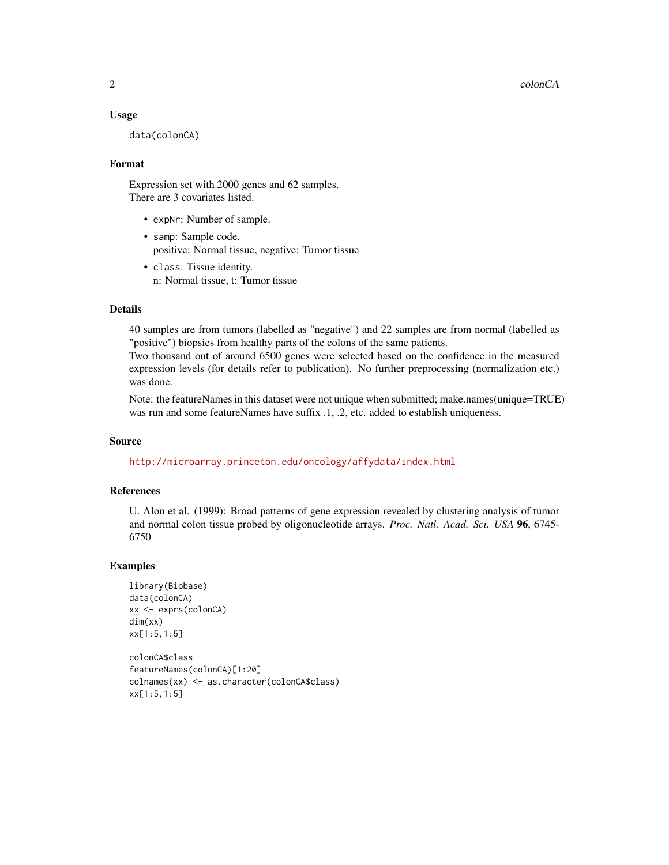#### Usage

data(colonCA)

#### Format

Expression set with 2000 genes and 62 samples. There are 3 covariates listed.

- expNr: Number of sample.
- samp: Sample code. positive: Normal tissue, negative: Tumor tissue
- class: Tissue identity. n: Normal tissue, t: Tumor tissue

#### Details

40 samples are from tumors (labelled as "negative") and 22 samples are from normal (labelled as "positive") biopsies from healthy parts of the colons of the same patients.

Two thousand out of around 6500 genes were selected based on the confidence in the measured expression levels (for details refer to publication). No further preprocessing (normalization etc.) was done.

Note: the featureNames in this dataset were not unique when submitted; make.names(unique=TRUE) was run and some featureNames have suffix .1, .2, etc. added to establish uniqueness.

#### Source

<http://microarray.princeton.edu/oncology/affydata/index.html>

#### References

U. Alon et al. (1999): Broad patterns of gene expression revealed by clustering analysis of tumor and normal colon tissue probed by oligonucleotide arrays. *Proc. Natl. Acad. Sci. USA* 96, 6745- 6750

#### Examples

```
library(Biobase)
data(colonCA)
xx <- exprs(colonCA)
dim(xx)
xx[1:5,1:5]
colonCA$class
```

```
featureNames(colonCA)[1:20]
colnames(xx) <- as.character(colonCA$class)
xx[1:5,1:5]
```